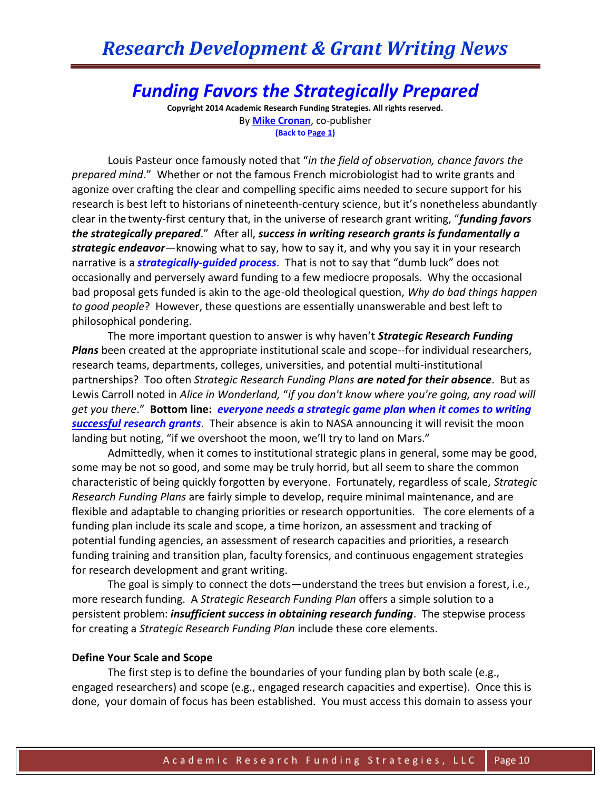# *Funding Favors the Strategically Prepared*

**Copyright 2014 Academic Research Funding Strategies. All rights reserved.** By **[Mike Cronan](mailto:mjcronan@gmail.com)**, co-publisher **(Back to Page 1)**

Louis Pasteur once famously noted that "*in the field of observation, chance favors the prepared mind*." Whether or not the famous French microbiologist had to write grants and agonize over crafting the clear and compelling specific aims needed to secure support for his research is best left to historians of nineteenth-century science, but it's nonetheless abundantly clear in the twenty-first century that, in the universe of research grant writing, "*funding favors the strategically prepared*." After all, *success in writing research grants is fundamentally a strategic endeavor*—knowing what to say, how to say it, and why you say it in your research narrative is a *strategically-guided process*. That is not to say that "dumb luck" does not occasionally and perversely award funding to a few mediocre proposals. Why the occasional bad proposal gets funded is akin to the age-old theological question, *Why do bad things happen to good people*? However, these questions are essentially unanswerable and best left to philosophical pondering.

The more important question to answer is why haven't *Strategic Research Funding Plans* been created at the appropriate institutional scale and scope--for individual researchers, research teams, departments, colleges, universities, and potential multi-institutional partnerships? Too often *Strategic Research Funding Plans are noted for their absence*. But as Lewis Carroll noted in *Alice in Wonderland,* "*if you don't know where you're going, any road will get you there*." **Bottom line:** *everyone needs a strategic game plan when it comes to writing successful research grants*. Their absence is akin to NASA announcing it will revisit the moon landing but noting, "if we overshoot the moon, we'll try to land on Mars."

Admittedly, when it comes to institutional strategic plans in general, some may be good, some may be not so good, and some may be truly horrid, but all seem to share the common characteristic of being quickly forgotten by everyone. Fortunately, regardless of scale*, Strategic Research Funding Plans* are fairly simple to develop, require minimal maintenance, and are flexible and adaptable to changing priorities or research opportunities. The core elements of a funding plan include its scale and scope, a time horizon, an assessment and tracking of potential funding agencies, an assessment of research capacities and priorities, a research funding training and transition plan, faculty forensics, and continuous engagement strategies for research development and grant writing.

The goal is simply to connect the dots—understand the trees but envision a forest, i.e., more research funding. A *Strategic Research Funding Plan* offers a simple solution to a persistent problem: *insufficient success in obtaining research funding*. The stepwise process for creating a *Strategic Research Funding Plan* include these core elements.

#### **Define Your Scale and Scope**

The first step is to define the boundaries of your funding plan by both scale (e.g., engaged researchers) and scope (e.g., engaged research capacities and expertise). Once this is done, your domain of focus has been established. You must access this domain to assess your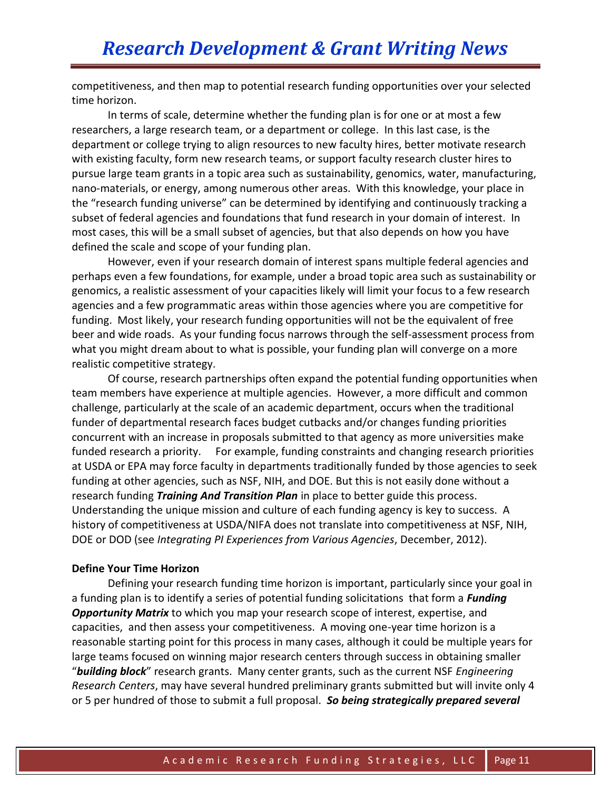competitiveness, and then map to potential research funding opportunities over your selected time horizon.

In terms of scale, determine whether the funding plan is for one or at most a few researchers, a large research team, or a department or college. In this last case, is the department or college trying to align resources to new faculty hires, better motivate research with existing faculty, form new research teams, or support faculty research cluster hires to pursue large team grants in a topic area such as sustainability, genomics, water, manufacturing, nano-materials, or energy, among numerous other areas. With this knowledge, your place in the "research funding universe" can be determined by identifying and continuously tracking a subset of federal agencies and foundations that fund research in your domain of interest. In most cases, this will be a small subset of agencies, but that also depends on how you have defined the scale and scope of your funding plan.

However, even if your research domain of interest spans multiple federal agencies and perhaps even a few foundations, for example, under a broad topic area such as sustainability or genomics, a realistic assessment of your capacities likely will limit your focus to a few research agencies and a few programmatic areas within those agencies where you are competitive for funding. Most likely, your research funding opportunities will not be the equivalent of free beer and wide roads. As your funding focus narrows through the self-assessment process from what you might dream about to what is possible, your funding plan will converge on a more realistic competitive strategy.

Of course, research partnerships often expand the potential funding opportunities when team members have experience at multiple agencies. However, a more difficult and common challenge, particularly at the scale of an academic department, occurs when the traditional funder of departmental research faces budget cutbacks and/or changes funding priorities concurrent with an increase in proposals submitted to that agency as more universities make funded research a priority. For example, funding constraints and changing research priorities at USDA or EPA may force faculty in departments traditionally funded by those agencies to seek funding at other agencies, such as NSF, NIH, and DOE. But this is not easily done without a research funding *Training And Transition Plan* in place to better guide this process. Understanding the unique mission and culture of each funding agency is key to success. A history of competitiveness at USDA/NIFA does not translate into competitiveness at NSF, NIH, DOE or DOD (see *Integrating PI Experiences from Various Agencies*, December, 2012).

#### **Define Your Time Horizon**

Defining your research funding time horizon is important, particularly since your goal in a funding plan is to identify a series of potential funding solicitations that form a *Funding Opportunity Matrix* to which you map your research scope of interest, expertise, and capacities, and then assess your competitiveness. A moving one-year time horizon is a reasonable starting point for this process in many cases, although it could be multiple years for large teams focused on winning major research centers through success in obtaining smaller "*building block*" research grants. Many center grants, such as the current NSF *Engineering Research Centers*, may have several hundred preliminary grants submitted but will invite only 4 or 5 per hundred of those to submit a full proposal. *So being strategically prepared several*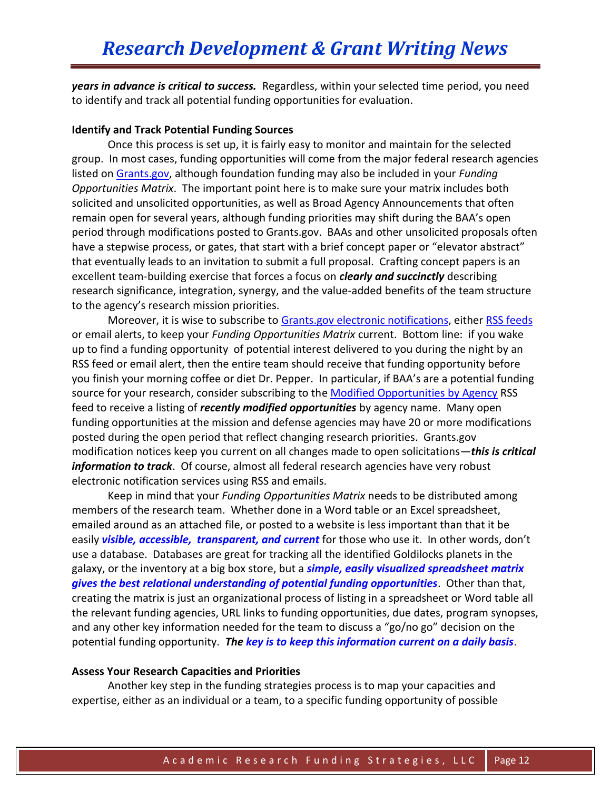*years in advance is critical to success.* Regardless, within your selected time period, you need to identify and track all potential funding opportunities for evaluation.

#### **Identify and Track Potential Funding Sources**

Once this process is set up, it is fairly easy to monitor and maintain for the selected group. In most cases, funding opportunities will come from the major federal research agencies listed on [Grants.gov,](http://www.grants.gov/web/grants/home.html) although foundation funding may also be included in your *Funding Opportunities Matrix*. The important point here is to make sure your matrix includes both solicited and unsolicited opportunities, as well as Broad Agency Announcements that often remain open for several years, although funding priorities may shift during the BAA's open period through modifications posted to Grants.gov. BAAs and other unsolicited proposals often have a stepwise process, or gates, that start with a brief concept paper or "elevator abstract" that eventually leads to an invitation to submit a full proposal. Crafting concept papers is an excellent team-building exercise that forces a focus on *clearly and succinctly* describing research significance, integration, synergy, and the value-added benefits of the team structure to the agency's research mission priorities.

Moreover, it is wise to subscribe to [Grants.gov electronic notifications,](http://www.grants.gov/web/grants/manage-subscriptions.html) either [RSS feeds](http://www.grants.gov/web/grants/rss.html) or email alerts, to keep your *Funding Opportunities Matrix* current. Bottom line: if you wake up to find a funding opportunity of potential interest delivered to you during the night by an RSS feed or email alert, then the entire team should receive that funding opportunity before you finish your morning coffee or diet Dr. Pepper. In particular, if BAA's are a potential funding source for your research, consider subscribing to the [Modified Opportunities by Agency](http://www.grants.gov/custom/spoExit.jsp?p=/rss/GG_OppModByAgency.xml) RSS feed to receive a listing of *recently modified opportunities* by agency name. Many open funding opportunities at the mission and defense agencies may have 20 or more modifications posted during the open period that reflect changing research priorities. Grants.gov modification notices keep you current on all changes made to open solicitations—*this is critical information to track*. Of course, almost all federal research agencies have very robust electronic notification services using RSS and emails.

Keep in mind that your *Funding Opportunities Matrix* needs to be distributed among members of the research team. Whether done in a Word table or an Excel spreadsheet, emailed around as an attached file, or posted to a website is less important than that it be easily *visible, accessible, transparent, and current* for those who use it. In other words, don't use a database. Databases are great for tracking all the identified Goldilocks planets in the galaxy, or the inventory at a big box store, but a *simple, easily visualized spreadsheet matrix gives the best relational understanding of potential funding opportunities*. Other than that, creating the matrix is just an organizational process of listing in a spreadsheet or Word table all the relevant funding agencies, URL links to funding opportunities, due dates, program synopses, and any other key information needed for the team to discuss a "go/no go" decision on the potential funding opportunity. *The key is to keep this information current on a daily basis*.

#### **Assess Your Research Capacities and Priorities**

Another key step in the funding strategies process is to map your capacities and expertise, either as an individual or a team, to a specific funding opportunity of possible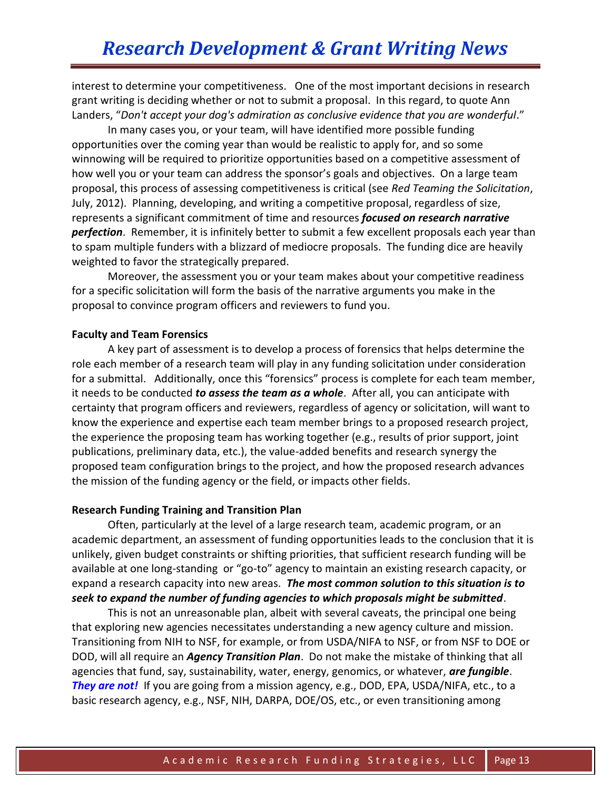interest to determine your competitiveness. One of the most important decisions in research grant writing is deciding whether or not to submit a proposal. In this regard, to quote Ann Landers, "*Don't accept your dog's admiration as conclusive evidence that you are wonderful*."

In many cases you, or your team, will have identified more possible funding opportunities over the coming year than would be realistic to apply for, and so some winnowing will be required to prioritize opportunities based on a competitive assessment of how well you or your team can address the sponsor's goals and objectives. On a large team proposal, this process of assessing competitiveness is critical (see *Red Teaming the Solicitation*, July, 2012). Planning, developing, and writing a competitive proposal, regardless of size, represents a significant commitment of time and resources *focused on research narrative perfection*. Remember, it is infinitely better to submit a few excellent proposals each year than to spam multiple funders with a blizzard of mediocre proposals. The funding dice are heavily weighted to favor the strategically prepared.

Moreover, the assessment you or your team makes about your competitive readiness for a specific solicitation will form the basis of the narrative arguments you make in the proposal to convince program officers and reviewers to fund you.

#### **Faculty and Team Forensics**

A key part of assessment is to develop a process of forensics that helps determine the role each member of a research team will play in any funding solicitation under consideration for a submittal. Additionally, once this "forensics" process is complete for each team member, it needs to be conducted *to assess the team as a whole*. After all, you can anticipate with certainty that program officers and reviewers, regardless of agency or solicitation, will want to know the experience and expertise each team member brings to a proposed research project, the experience the proposing team has working together (e.g., results of prior support, joint publications, preliminary data, etc.), the value-added benefits and research synergy the proposed team configuration brings to the project, and how the proposed research advances the mission of the funding agency or the field, or impacts other fields.

#### **Research Funding Training and Transition Plan**

Often, particularly at the level of a large research team, academic program, or an academic department, an assessment of funding opportunities leads to the conclusion that it is unlikely, given budget constraints or shifting priorities, that sufficient research funding will be available at one long-standing or "go-to" agency to maintain an existing research capacity, or expand a research capacity into new areas. *The most common solution to this situation is to seek to expand the number of funding agencies to which proposals might be submitted*.

This is not an unreasonable plan, albeit with several caveats, the principal one being that exploring new agencies necessitates understanding a new agency culture and mission. Transitioning from NIH to NSF, for example, or from USDA/NIFA to NSF, or from NSF to DOE or DOD, will all require an *Agency Transition Plan*. Do not make the mistake of thinking that all agencies that fund, say, sustainability, water, energy, genomics, or whatever, *are fungible*. **They are not!** If you are going from a mission agency, e.g., DOD, EPA, USDA/NIFA, etc., to a basic research agency, e.g., NSF, NIH, DARPA, DOE/OS, etc., or even transitioning among